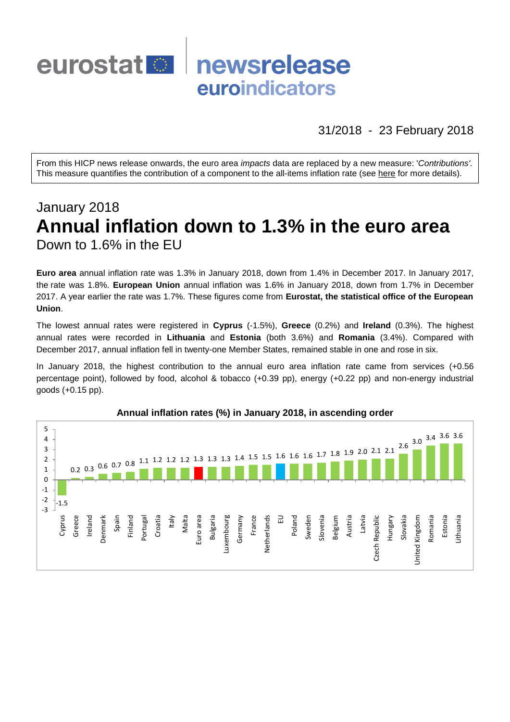

31/2018 - 23 February 2018

From this HICP news release onwards, the euro area *impacts* data are replaced by a new measure: '*Contributions'.* This measure quantifies the contribution of a component to the all-items inflation rate (see [here](http://ec.europa.eu/eurostat/documents/272892/272974/New_dataset_contributions_to_euro_area_annual_inflation/) for more details).

# January 2018 **Annual inflation down to 1.3% in the euro area** Down to 1.6% in the EU

**Euro area** annual inflation rate was 1.3% in January 2018, down from 1.4% in December 2017. In January 2017, the rate was 1.8%. **European Union** annual inflation was 1.6% in January 2018, down from 1.7% in December 2017. A year earlier the rate was 1.7%. These figures come from **Eurostat, the statistical office of the European Union**.

The lowest annual rates were registered in **Cyprus** (-1.5%), **Greece** (0.2%) and **Ireland** (0.3%). The highest annual rates were recorded in **Lithuania** and **Estonia** (both 3.6%) and **Romania** (3.4%). Compared with December 2017, annual inflation fell in twenty-one Member States, remained stable in one and rose in six.

In January 2018, the highest contribution to the annual euro area inflation rate came from services (+0.56 percentage point), followed by food, alcohol & tobacco (+0.39 pp), energy (+0.22 pp) and non-energy industrial goods (+0.15 pp).



# **Annual inflation rates (%) in January 2018, in ascending order**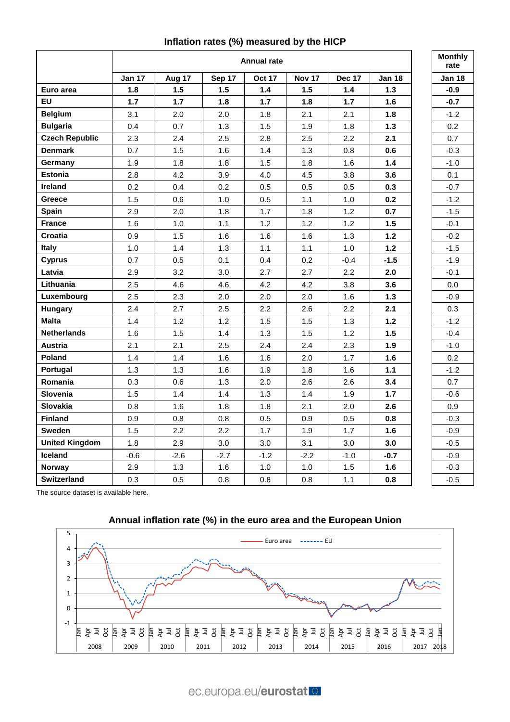# **Inflation rates (%) measured by the HICP**

|                       | <b>Annual rate</b> |        |        |               |                   |                  |               | <b>Monthly</b><br>rate |
|-----------------------|--------------------|--------|--------|---------------|-------------------|------------------|---------------|------------------------|
|                       | <b>Jan 17</b>      | Aug 17 | Sep 17 | <b>Oct 17</b> | Nov <sub>17</sub> | <b>Dec 17</b>    | <b>Jan 18</b> | <b>Jan 18</b>          |
| Euro area             | 1.8                | 1.5    | 1.5    | 1.4           | 1.5               | 1.4              | 1.3           | $-0.9$                 |
| <b>EU</b>             | 1.7                | 1.7    | 1.8    | $1.7$         | 1.8               | 1.7              | 1.6           | $-0.7$                 |
| <b>Belgium</b>        | 3.1                | 2.0    | 2.0    | 1.8           | 2.1               | 2.1              | 1.8           | $-1.2$                 |
| <b>Bulgaria</b>       | 0.4                | 0.7    | 1.3    | 1.5           | 1.9               | 1.8              | 1.3           | 0.2                    |
| <b>Czech Republic</b> | 2.3                | 2.4    | 2.5    | 2.8           | 2.5               | 2.2              | 2.1           | 0.7                    |
| <b>Denmark</b>        | 0.7                | 1.5    | 1.6    | 1.4           | 1.3               | 0.8              | 0.6           | $-0.3$                 |
| Germany               | 1.9                | 1.8    | 1.8    | 1.5           | 1.8               | 1.6              | 1.4           | $-1.0$                 |
| <b>Estonia</b>        | 2.8                | 4.2    | 3.9    | 4.0           | 4.5               | 3.8              | 3.6           | 0.1                    |
| <b>Ireland</b>        | 0.2                | 0.4    | 0.2    | 0.5           | 0.5               | 0.5              | 0.3           | $-0.7$                 |
| Greece                | 1.5                | 0.6    | 1.0    | 0.5           | 1.1               | 1.0              | 0.2           | $-1.2$                 |
| <b>Spain</b>          | 2.9                | 2.0    | 1.8    | 1.7           | 1.8               | 1.2              | 0.7           | $-1.5$                 |
| <b>France</b>         | 1.6                | 1.0    | 1.1    | 1.2           | 1.2               | 1.2              | 1.5           | $-0.1$                 |
| <b>Croatia</b>        | 0.9                | 1.5    | 1.6    | 1.6           | 1.6               | 1.3              | $1.2$         | $-0.2$                 |
| <b>Italy</b>          | 1.0                | 1.4    | 1.3    | 1.1           | 1.1               | 1.0              | 1.2           | $-1.5$                 |
| <b>Cyprus</b>         | 0.7                | 0.5    | 0.1    | 0.4           | 0.2               | $-0.4$           | $-1.5$        | $-1.9$                 |
| Latvia                | 2.9                | 3.2    | 3.0    | 2.7           | 2.7               | $2.2\phantom{0}$ | 2.0           | $-0.1$                 |
| Lithuania             | 2.5                | 4.6    | 4.6    | 4.2           | 4.2               | 3.8              | 3.6           | 0.0                    |
| Luxembourg            | 2.5                | 2.3    | 2.0    | 2.0           | 2.0               | 1.6              | $1.3$         | $-0.9$                 |
| Hungary               | 2.4                | 2.7    | 2.5    | 2.2           | 2.6               | 2.2              | 2.1           | 0.3                    |
| <b>Malta</b>          | 1.4                | 1.2    | 1.2    | 1.5           | 1.5               | 1.3              | $1.2$         | $-1.2$                 |
| <b>Netherlands</b>    | 1.6                | 1.5    | 1.4    | 1.3           | 1.5               | 1.2              | 1.5           | $-0.4$                 |
| <b>Austria</b>        | 2.1                | 2.1    | 2.5    | 2.4           | 2.4               | 2.3              | 1.9           | $-1.0$                 |
| <b>Poland</b>         | 1.4                | 1.4    | 1.6    | 1.6           | 2.0               | 1.7              | 1.6           | 0.2                    |
| Portugal              | 1.3                | 1.3    | 1.6    | 1.9           | 1.8               | 1.6              | $1.1$         | $-1.2$                 |
| Romania               | 0.3                | 0.6    | 1.3    | 2.0           | 2.6               | 2.6              | 3.4           | 0.7                    |
| Slovenia              | 1.5                | 1.4    | 1.4    | 1.3           | 1.4               | 1.9              | 1.7           | $-0.6$                 |
| <b>Slovakia</b>       | 0.8                | 1.6    | 1.8    | 1.8           | 2.1               | 2.0              | 2.6           | 0.9                    |
| <b>Finland</b>        | 0.9                | 0.8    | 0.8    | 0.5           | 0.9               | 0.5              | 0.8           | $-0.3$                 |
| <b>Sweden</b>         | 1.5                | 2.2    | 2.2    | 1.7           | 1.9               | 1.7              | 1.6           | $-0.9$                 |
| <b>United Kingdom</b> | 1.8                | 2.9    | 3.0    | 3.0           | 3.1               | 3.0              | 3.0           | $-0.5$                 |
| Iceland               | $-0.6$             | $-2.6$ | $-2.7$ | $-1.2$        | $-2.2$            | $-1.0$           | $-0.7$        | $-0.9$                 |
| <b>Norway</b>         | 2.9                | 1.3    | 1.6    | 1.0           | 1.0               | 1.5              | 1.6           | $-0.3$                 |
| <b>Switzerland</b>    | 0.3                | 0.5    | 0.8    | 0.8           | 0.8               | 1.1              | 0.8           | $-0.5$                 |

The source dataset is available [here.](http://appsso.eurostat.ec.europa.eu/nui/show.do?query=BOOKMARK_DS-055104_QID_4A563C1D_UID_-3F171EB0&layout=TIME,C,X,0;GEO,L,Y,0;UNIT,L,Z,0;COICOP,L,Z,1;INDICATORS,C,Z,2;&zSelection=DS-055104INDICATORS,OBS_FLAG;DS-055104UNIT,RCH_A;DS-055104COICOP,CP00;&rankName1=UNIT_1_2_-1_2&rankName2=INDICATORS_1_2_-1_2&rankName3=COICOP_1_2_-1_2&rankName4=TIME_1_0_0_0&rankName5=GEO_1_2_0_1&sortC=ASC_-1_FIRST&rStp=&cStp=&rDCh=&cDCh=&rDM=true&cDM=true&footnes=false&empty=false&wai=false&time_mode=ROLLING&time_most_recent=true&lang=EN&cfo=%23%23%23%2C%23%23%23.%23%23%23)



# **Annual inflation rate (%) in the euro area and the European Union**

ec.europa.eu/eurostat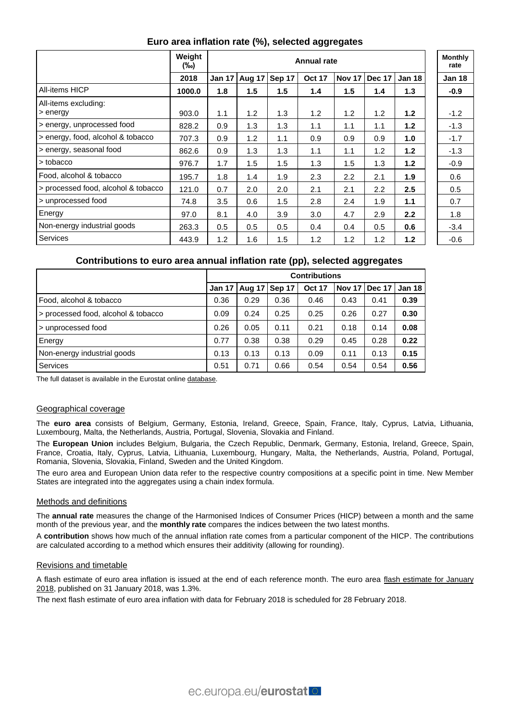|                                     | Weight<br>$(\%circ)$ | <b>Annual rate</b> |        |        |               |                   |               |               | <b>Monthly</b><br>rate |
|-------------------------------------|----------------------|--------------------|--------|--------|---------------|-------------------|---------------|---------------|------------------------|
|                                     | 2018                 | Jan 17             | Aug 17 | Sep 17 | <b>Oct 17</b> | Nov <sub>17</sub> | <b>Dec 17</b> | <b>Jan 18</b> | <b>Jan 18</b>          |
| <b>All-items HICP</b>               | 1000.0               | 1.8                | 1.5    | 1.5    | 1.4           | 1.5               | 1.4           | 1.3           | $-0.9$                 |
| All-items excluding:<br>> energy    | 903.0                | 1.1                | 1.2    | 1.3    | 1.2           | 1.2               | 1.2           | 1.2           | $-1.2$                 |
| > energy, unprocessed food          | 828.2                | 0.9                | 1.3    | 1.3    | 1.1           | 1.1               | 1.1           | 1.2           | $-1.3$                 |
| > energy, food, alcohol & tobacco   | 707.3                | 0.9                | 1.2    | 1.1    | 0.9           | 0.9               | 0.9           | 1.0           | $-1.7$                 |
| > energy, seasonal food             | 862.6                | 0.9                | 1.3    | 1.3    | 1.1           | 1.1               | 1.2           | 1.2           | $-1.3$                 |
| > tobacco                           | 976.7                | 1.7                | 1.5    | 1.5    | 1.3           | 1.5               | 1.3           | 1.2           | $-0.9$                 |
| Food, alcohol & tobacco             | 195.7                | 1.8                | 1.4    | 1.9    | 2.3           | 2.2               | 2.1           | 1.9           | 0.6                    |
| > processed food, alcohol & tobacco | 121.0                | 0.7                | 2.0    | 2.0    | 2.1           | 2.1               | 2.2           | 2.5           | 0.5                    |
| > unprocessed food                  | 74.8                 | 3.5                | 0.6    | 1.5    | 2.8           | 2.4               | 1.9           | 1.1           | 0.7                    |
| Energy                              | 97.0                 | 8.1                | 4.0    | 3.9    | 3.0           | 4.7               | 2.9           | 2.2           | 1.8                    |
| Non-energy industrial goods         | 263.3                | 0.5                | 0.5    | 0.5    | 0.4           | 0.4               | 0.5           | 0.6           | $-3.4$                 |
| Services                            | 443.9                | 1.2                | 1.6    | 1.5    | 1.2           | 1.2               | 1.2           | 1.2           | $-0.6$                 |

# **Euro area inflation rate (%), selected aggregates**

# **Contributions to euro area annual inflation rate (pp), selected aggregates**

|                                     | <b>Contributions</b> |        |        |               |               |               |               |
|-------------------------------------|----------------------|--------|--------|---------------|---------------|---------------|---------------|
|                                     | <b>Jan 17</b>        | Aug 17 | Sep 17 | <b>Oct 17</b> | <b>Nov 17</b> | <b>Dec 17</b> | <b>Jan 18</b> |
| Food, alcohol & tobacco             | 0.36                 | 0.29   | 0.36   | 0.46          | 0.43          | 0.41          | 0.39          |
| > processed food, alcohol & tobacco | 0.09                 | 0.24   | 0.25   | 0.25          | 0.26          | 0.27          | 0.30          |
| > unprocessed food                  | 0.26                 | 0.05   | 0.11   | 0.21          | 0.18          | 0.14          | 0.08          |
| Energy                              | 0.77                 | 0.38   | 0.38   | 0.29          | 0.45          | 0.28          | 0.22          |
| Non-energy industrial goods         | 0.13                 | 0.13   | 0.13   | 0.09          | 0.11          | 0.13          | 0.15          |
| <b>Services</b>                     | 0.51                 | 0.71   | 0.66   | 0.54          | 0.54          | 0.54          | 0.56          |

The full dataset is available in the Eurostat onlin[e database.](http://ec.europa.eu/eurostat/product?code=prc_hicp_ctrb&language=en&mode=view)

#### Geographical coverage

The **euro area** consists of Belgium, Germany, Estonia, Ireland, Greece, Spain, France, Italy, Cyprus, Latvia, Lithuania, Luxembourg, Malta, the Netherlands, Austria, Portugal, Slovenia, Slovakia and Finland.

The **European Union** includes Belgium, Bulgaria, the Czech Republic, Denmark, Germany, Estonia, Ireland, Greece, Spain, France, Croatia, Italy, Cyprus, Latvia, Lithuania, Luxembourg, Hungary, Malta, the Netherlands, Austria, Poland, Portugal, Romania, Slovenia, Slovakia, Finland, Sweden and the United Kingdom.

The euro area and European Union data refer to the respective country compositions at a specific point in time. New Member States are integrated into the aggregates using a chain index formula.

#### Methods and definitions

The **annual rate** measures the change of the Harmonised Indices of Consumer Prices (HICP) between a month and the same month of the previous year, and the **monthly rate** compares the indices between the two latest months.

A **contribution** shows how much of the annual inflation rate comes from a particular component of the HICP. The contributions are calculated according to a method which ensures their additivity (allowing for rounding).

#### Revisions and timetable

A flash estimate of euro area inflation is issued at the end of each reference month. The euro area [flash estimate for](http://ec.europa.eu/eurostat/news/themes-in-the-spotlight/household-expenditure-2016) January [2018,](http://ec.europa.eu/eurostat/news/themes-in-the-spotlight/household-expenditure-2016) published on 31 January 2018, was 1.3%.

The next flash estimate of euro area inflation with data for February 2018 is scheduled for 28 February 2018.